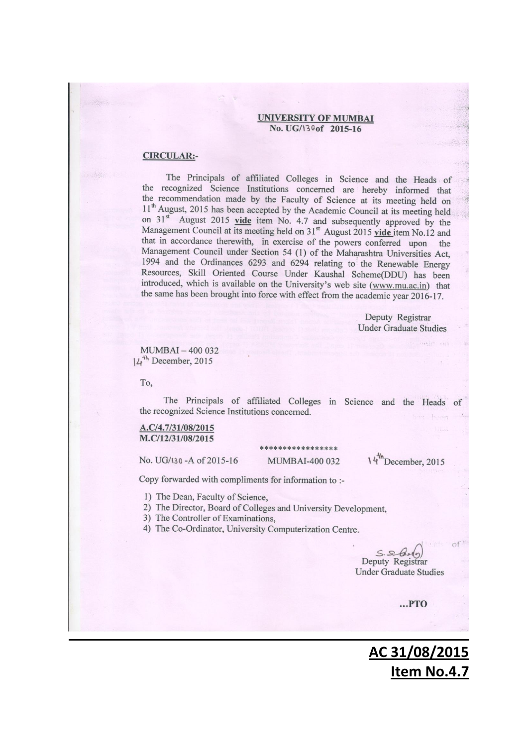#### **UNIVERSITY OF MUMBAI** No. UG/130of 2015-16

### **CIRCULAR:-**

The Principals of affiliated Colleges in Science and the Heads of the recognized Science Institutions concerned are hereby informed that the recommendation made by the Faculty of Science at its meeting held on 11<sup>th</sup> August, 2015 has been accepted by the Academic Council at its meeting held on 31<sup>st</sup> August 2015 vide item No. 4.7 and subsequently approved by the Management Council at its meeting held on 31<sup>st</sup> August 2015 vide item No.12 and that in accordance therewith, in exercise of the powers conferred upon the Management Council under Section 54 (1) of the Maharashtra Universities Act, 1994 and the Ordinances 6293 and 6294 relating to the Renewable Energy Resources, Skill Oriented Course Under Kaushal Scheme(DDU) has been introduced, which is available on the University's web site (www.mu.ac.in) that the same has been brought into force with effect from the academic year 2016-17.

> Deputy Registrar **Under Graduate Studies**

MUMBAI-400 032  $14<sup>th</sup>$  December, 2015

To,

The Principals of affiliated Colleges in Science and the Heads the recognized Science Institutions concerned.

### A.C/4.7/31/08/2015 M.C/12/31/08/2015

No. UG/130 - A of 2015-16

### \*\*\*\*\*\*\*\*\*\*\*\*\*\*\* **MUMBAI-400 032**

 $14^{\text{th}}$ December, 2015

Copy forwarded with compliments for information to :-

1) The Dean, Faculty of Science,

2) The Director, Board of Colleges and University Development,

- 3) The Controller of Examinations,
- 4) The Co-Ordinator, University Computerization Centre.

 $S.S.d.,$ Deputy Registrar **Under Graduate Studies** 

 $...$ PTO

# **AC 31/08/2015 Item No.4.7**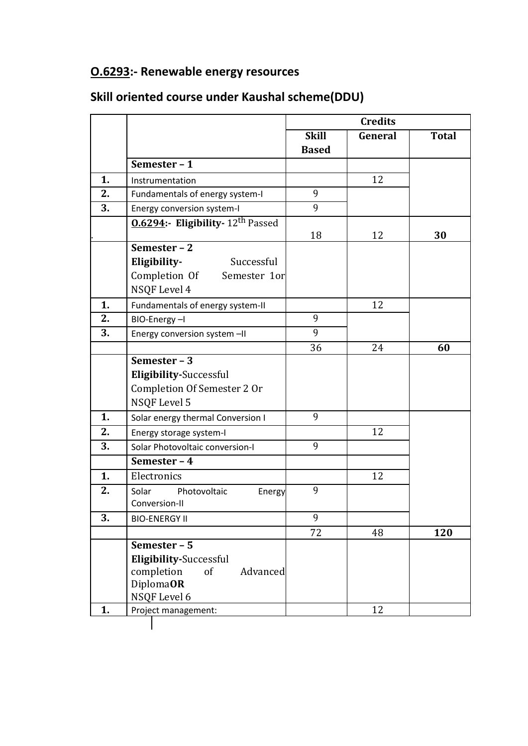# **O.6293:- Renewable energy resources**

# **Skill oriented course under Kaushal scheme(DDU)**

|    |                                            | <b>Credits</b> |         |              |
|----|--------------------------------------------|----------------|---------|--------------|
|    |                                            | <b>Skill</b>   | General | <b>Total</b> |
|    |                                            | <b>Based</b>   |         |              |
|    | Semester - 1                               |                |         |              |
| 1. | Instrumentation                            |                | 12      |              |
| 2. | Fundamentals of energy system-I            | 9              |         |              |
| 3. | Energy conversion system-I                 | 9              |         |              |
|    | <b>0.6294:- Eligibility-12th Passed</b>    |                |         |              |
|    |                                            | 18             | 12      | 30           |
|    | Semester - 2                               |                |         |              |
|    | Eligibility-<br>Successful                 |                |         |              |
|    | Completion Of Semester 1or<br>NSQF Level 4 |                |         |              |
| 1. | Fundamentals of energy system-II           |                | 12      |              |
| 2. | BIO-Energy-I                               | 9              |         |              |
| 3. | Energy conversion system -II               | 9              |         |              |
|    |                                            | 36             | 24      | 60           |
|    | Semester - 3                               |                |         |              |
|    | <b>Eligibility-Successful</b>              |                |         |              |
|    | Completion Of Semester 2 Or                |                |         |              |
|    | NSQF Level 5                               |                |         |              |
| 1. | Solar energy thermal Conversion I          | 9              |         |              |
| 2. | Energy storage system-I                    |                | 12      |              |
| 3. | Solar Photovoltaic conversion-I            | 9              |         |              |
|    | Semester - 4                               |                |         |              |
| 1. | Electronics                                |                | 12      |              |
| 2. | Solar<br>Photovoltaic<br>Energy            | 9              |         |              |
|    | Conversion-II                              |                |         |              |
| 3. | <b>BIO-ENERGY II</b>                       | 9              |         |              |
|    |                                            | 72             | 48      | 120          |
|    | Semester - 5                               |                |         |              |
|    | <b>Eligibility-Successful</b>              |                |         |              |
|    | completion<br>of<br>Advanced               |                |         |              |
|    | DiplomaOR<br>NSQF Level 6                  |                |         |              |
| 1. | Project management:                        |                | 12      |              |
|    |                                            |                |         |              |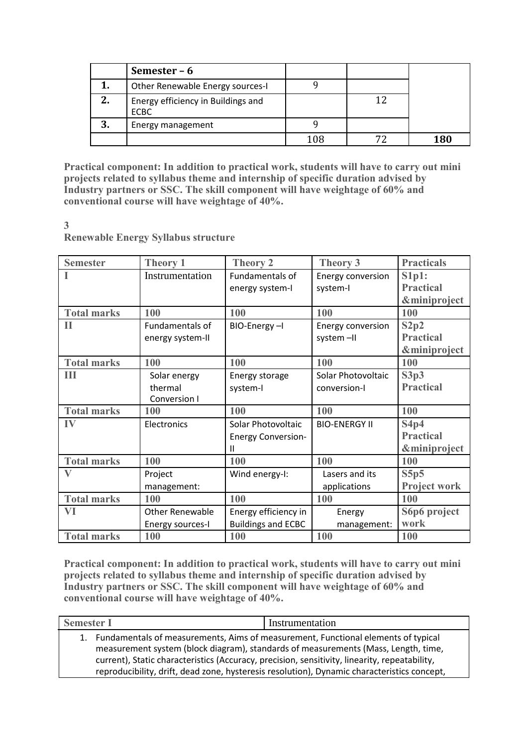|    | Semester – 6                                      |     |     |
|----|---------------------------------------------------|-----|-----|
|    | Other Renewable Energy sources-I                  |     |     |
| 2. | Energy efficiency in Buildings and<br><b>ECBC</b> |     |     |
| 3. | Energy management                                 |     |     |
|    |                                                   | 108 | 180 |

**Practical component: In addition to practical work, students will have to carry out mini projects related to syllabus theme and internship of specific duration advised by Industry partners or SSC. The skill component will have weightage of 60% and conventional course will have weightage of 40%.**

**3**

**Renewable Energy Syllabus structure**

| <b>Semester</b>    | <b>Theory 1</b>         | <b>Theory 2</b>           | <b>Theory 3</b>      | <b>Practicals</b>       |
|--------------------|-------------------------|---------------------------|----------------------|-------------------------|
|                    | Instrumentation         | Fundamentals of           | Energy conversion    | S1p1:                   |
|                    |                         | energy system-I           | system-l             | <b>Practical</b>        |
|                    |                         |                           |                      | <b>&amp;miniproject</b> |
| <b>Total marks</b> | 100                     | 100                       | 100                  | 100                     |
| П                  | Fundamentals of         | BIO-Energy-I              | Energy conversion    | S2p2                    |
|                    | energy system-II        |                           | system-II            | <b>Practical</b>        |
|                    |                         |                           |                      | <b>&amp;miniproject</b> |
| <b>Total marks</b> | 100                     | 100                       | 100                  | 100                     |
| Ш                  | Solar energy            | Energy storage            | Solar Photovoltaic   | S3p3                    |
|                    | thermal                 | system-l                  | conversion-l         | <b>Practical</b>        |
|                    | Conversion I            |                           |                      |                         |
| <b>Total marks</b> | 100                     | 100                       | 100                  | 100                     |
| IV                 | Electronics             | Solar Photovoltaic        | <b>BIO-ENERGY II</b> | S4p4                    |
|                    |                         | <b>Energy Conversion-</b> |                      | <b>Practical</b>        |
|                    |                         | Ш                         |                      | <b>&amp;miniproject</b> |
| <b>Total marks</b> | 100                     | 100                       | 100                  | 100                     |
| $\bf V$            | Project                 | Wind energy-I:            | Lasers and its       | S5p5                    |
|                    | management:             |                           | applications         | <b>Project work</b>     |
| <b>Total marks</b> | 100                     | 100                       | 100                  | 100                     |
| VI                 | Other Renewable         | Energy efficiency in      | Energy               | S6p6 project            |
|                    | <b>Energy sources-I</b> | <b>Buildings and ECBC</b> | management:          | work                    |
| <b>Total marks</b> | 100                     | 100                       | 100                  | 100                     |

**Practical component: In addition to practical work, students will have to carry out mini projects related to syllabus theme and internship of specific duration advised by Industry partners or SSC. The skill component will have weightage of 60% and conventional course will have weightage of 40%.**

| <b>Semester I</b> |                                                                                               | Instrumentation                                                                             |
|-------------------|-----------------------------------------------------------------------------------------------|---------------------------------------------------------------------------------------------|
|                   |                                                                                               | 1. Fundamentals of measurements, Aims of measurement, Functional elements of typical        |
|                   |                                                                                               | measurement system (block diagram), standards of measurements (Mass, Length, time,          |
|                   | current), Static characteristics (Accuracy, precision, sensitivity, linearity, repeatability, |                                                                                             |
|                   |                                                                                               | reproducibility, drift, dead zone, hysteresis resolution), Dynamic characteristics concept, |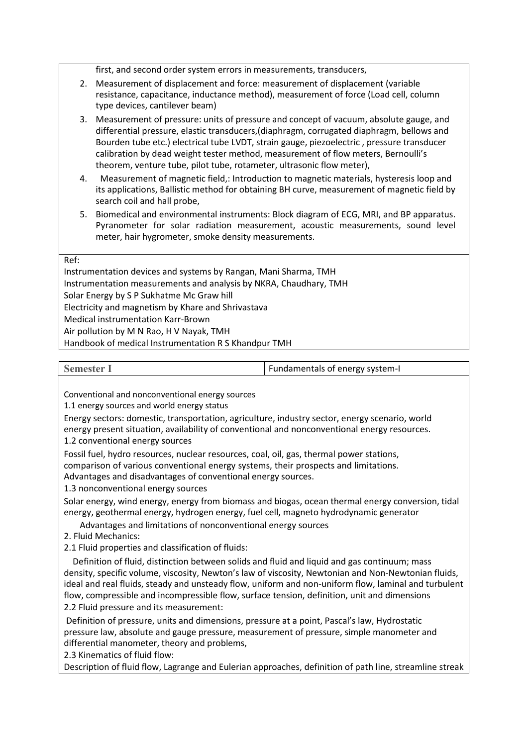first, and second order system errors in measurements, transducers,

- 2. Measurement of displacement and force: measurement of displacement (variable resistance, capacitance, inductance method), measurement of force (Load cell, column type devices, cantilever beam)
- 3. Measurement of pressure: units of pressure and concept of vacuum, absolute gauge, and differential pressure, elastic transducers,(diaphragm, corrugated diaphragm, bellows and Bourden tube etc.) electrical tube LVDT, strain gauge, piezoelectric , pressure transducer calibration by dead weight tester method, measurement of flow meters, Bernoulli's theorem, venture tube, pilot tube, rotameter, ultrasonic flow meter),
- 4. Measurement of magnetic field,: Introduction to magnetic materials, hysteresis loop and its applications, Ballistic method for obtaining BH curve, measurement of magnetic field by search coil and hall probe,
- 5. Biomedical and environmental instruments: Block diagram of ECG, MRI, and BP apparatus. Pyranometer for solar radiation measurement, acoustic measurements, sound level meter, hair hygrometer, smoke density measurements.

### Ref:

Instrumentation devices and systems by Rangan, Mani Sharma, TMH Instrumentation measurements and analysis by NKRA, Chaudhary, TMH Solar Energy by S P Sukhatme Mc Graw hill Electricity and magnetism by Khare and Shrivastava Medical instrumentation Karr-Brown Air pollution by M N Rao, H V Nayak, TMH Handbook of medical Instrumentation R S Khandpur TMH

**Semester I** Fundamentals of energy system-I

Conventional and nonconventional energy sources

1.1 energy sources and world energy status

Energy sectors: domestic, transportation, agriculture, industry sector, energy scenario, world energy present situation, availability of conventional and nonconventional energy resources.

1.2 conventional energy sources

Fossil fuel, hydro resources, nuclear resources, coal, oil, gas, thermal power stations, comparison of various conventional energy systems, their prospects and limitations. Advantages and disadvantages of conventional energy sources.

1.3 nonconventional energy sources

Solar energy, wind energy, energy from biomass and biogas, ocean thermal energy conversion, tidal energy, geothermal energy, hydrogen energy, fuel cell, magneto hydrodynamic generator

Advantages and limitations of nonconventional energy sources

2. Fluid Mechanics:

2.1 Fluid properties and classification of fluids:

Definition of fluid, distinction between solids and fluid and liquid and gas continuum; mass density, specific volume, viscosity, Newton's law of viscosity, Newtonian and Non-Newtonian fluids, ideal and real fluids, steady and unsteady flow, uniform and non-uniform flow, laminal and turbulent flow, compressible and incompressible flow, surface tension, definition, unit and dimensions 2.2 Fluid pressure and its measurement:

Definition of pressure, units and dimensions, pressure at a point, Pascal's law, Hydrostatic pressure law, absolute and gauge pressure, measurement of pressure, simple manometer and differential manometer, theory and problems,

2.3 Kinematics of fluid flow:

Description of fluid flow, Lagrange and Eulerian approaches, definition of path line, streamline streak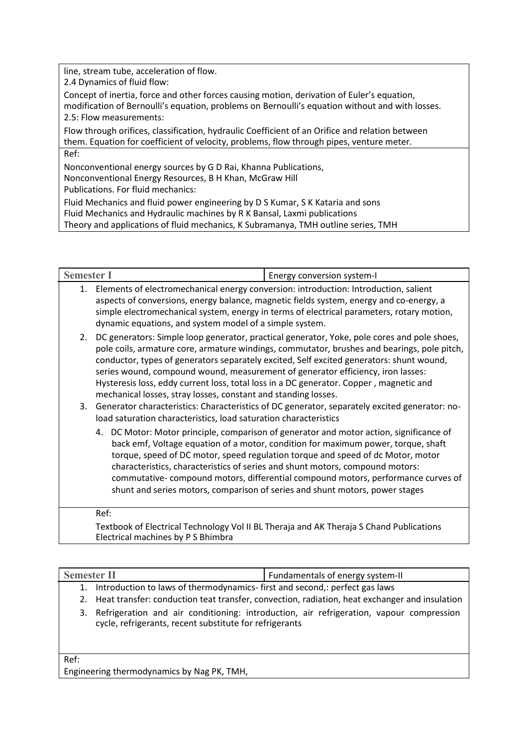line, stream tube, acceleration of flow.

2.4 Dynamics of fluid flow:

Concept of inertia, force and other forces causing motion, derivation of Euler's equation, modification of Bernoulli's equation, problems on Bernoulli's equation without and with losses. 2.5: Flow measurements:

Flow through orifices, classification, hydraulic Coefficient of an Orifice and relation between them. Equation for coefficient of velocity, problems, flow through pipes, venture meter. Ref:

Nonconventional energy sources by G D Rai, Khanna Publications, Nonconventional Energy Resources, B H Khan, McGraw Hill Publications. For fluid mechanics:

Fluid Mechanics and fluid power engineering by D S Kumar, S K Kataria and sons Fluid Mechanics and Hydraulic machines by R K Bansal, Laxmi publications Theory and applications of fluid mechanics, K Subramanya, TMH outline series, TMH

| <b>Semester I</b>                                                      | Energy conversion system-I                                                                                                                                                                                                                                                                                                                                                                                                                                                                                                                                                                                                                |  |
|------------------------------------------------------------------------|-------------------------------------------------------------------------------------------------------------------------------------------------------------------------------------------------------------------------------------------------------------------------------------------------------------------------------------------------------------------------------------------------------------------------------------------------------------------------------------------------------------------------------------------------------------------------------------------------------------------------------------------|--|
|                                                                        | 1. Elements of electromechanical energy conversion: introduction: Introduction, salient<br>aspects of conversions, energy balance, magnetic fields system, energy and co-energy, a<br>simple electromechanical system, energy in terms of electrical parameters, rotary motion,<br>dynamic equations, and system model of a simple system.                                                                                                                                                                                                                                                                                                |  |
| 3.<br>load saturation characteristics, load saturation characteristics | 2. DC generators: Simple loop generator, practical generator, Yoke, pole cores and pole shoes,<br>pole coils, armature core, armature windings, commutator, brushes and bearings, pole pitch,<br>conductor, types of generators separately excited, Self excited generators: shunt wound,<br>series wound, compound wound, measurement of generator efficiency, iron lasses:<br>Hysteresis loss, eddy current loss, total loss in a DC generator. Copper, magnetic and<br>mechanical losses, stray losses, constant and standing losses.<br>Generator characteristics: Characteristics of DC generator, separately excited generator: no- |  |
|                                                                        | 4. DC Motor: Motor principle, comparison of generator and motor action, significance of<br>back emf, Voltage equation of a motor, condition for maximum power, torque, shaft<br>torque, speed of DC motor, speed regulation torque and speed of dc Motor, motor<br>characteristics, characteristics of series and shunt motors, compound motors:<br>commutative-compound motors, differential compound motors, performance curves of<br>shunt and series motors, comparison of series and shunt motors, power stages                                                                                                                      |  |
| Ref:                                                                   |                                                                                                                                                                                                                                                                                                                                                                                                                                                                                                                                                                                                                                           |  |
| Electrical machines by P S Bhimbra                                     | Textbook of Electrical Technology Vol II BL Theraja and AK Theraja S Chand Publications                                                                                                                                                                                                                                                                                                                                                                                                                                                                                                                                                   |  |

| <b>Semester II</b>                                                            | Fundamentals of energy system-II                                                                 |
|-------------------------------------------------------------------------------|--------------------------------------------------------------------------------------------------|
| 1. Introduction to laws of thermodynamics-first and second,: perfect gas laws | 2. Heat transfer: conduction teat transfer, convection, radiation, heat exchanger and insulation |
| cycle, refrigerants, recent substitute for refrigerants                       | 3. Refrigeration and air conditioning: introduction, air refrigeration, vapour compression       |

Ref: Engineering thermodynamics by Nag PK, TMH,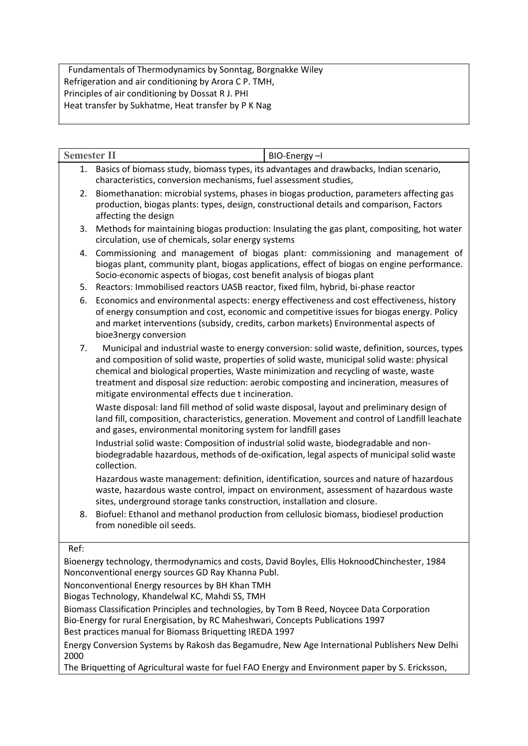Fundamentals of Thermodynamics by Sonntag, Borgnakke Wiley Refrigeration and air conditioning by Arora C P. TMH, Principles of air conditioning by Dossat R J. PHI Heat transfer by Sukhatme, Heat transfer by P K Nag

| <b>Semester II</b> |                                                                                                                                                                                                                                                               | BIO-Energy-I                                                                                                                                                                                                                                                                                                                                                                  |  |  |
|--------------------|---------------------------------------------------------------------------------------------------------------------------------------------------------------------------------------------------------------------------------------------------------------|-------------------------------------------------------------------------------------------------------------------------------------------------------------------------------------------------------------------------------------------------------------------------------------------------------------------------------------------------------------------------------|--|--|
| 1.                 | characteristics, conversion mechanisms, fuel assessment studies,                                                                                                                                                                                              | Basics of biomass study, biomass types, its advantages and drawbacks, Indian scenario,                                                                                                                                                                                                                                                                                        |  |  |
| 2.                 | affecting the design                                                                                                                                                                                                                                          | Biomethanation: microbial systems, phases in biogas production, parameters affecting gas<br>production, biogas plants: types, design, constructional details and comparison, Factors                                                                                                                                                                                          |  |  |
| 3.                 | circulation, use of chemicals, solar energy systems                                                                                                                                                                                                           | Methods for maintaining biogas production: Insulating the gas plant, compositing, hot water                                                                                                                                                                                                                                                                                   |  |  |
| 4.<br>5.           | Socio-economic aspects of biogas, cost benefit analysis of biogas plant<br>Reactors: Immobilised reactors UASB reactor, fixed film, hybrid, bi-phase reactor                                                                                                  | Commissioning and management of biogas plant: commissioning and management of<br>biogas plant, community plant, biogas applications, effect of biogas on engine performance.                                                                                                                                                                                                  |  |  |
| 6.                 | bioe3nergy conversion                                                                                                                                                                                                                                         | Economics and environmental aspects: energy effectiveness and cost effectiveness, history<br>of energy consumption and cost, economic and competitive issues for biogas energy. Policy<br>and market interventions (subsidy, credits, carbon markets) Environmental aspects of                                                                                                |  |  |
| 7.                 | mitigate environmental effects due t incineration.                                                                                                                                                                                                            | Municipal and industrial waste to energy conversion: solid waste, definition, sources, types<br>and composition of solid waste, properties of solid waste, municipal solid waste: physical<br>chemical and biological properties, Waste minimization and recycling of waste, waste<br>treatment and disposal size reduction: aerobic composting and incineration, measures of |  |  |
|                    | Waste disposal: land fill method of solid waste disposal, layout and preliminary design of<br>land fill, composition, characteristics, generation. Movement and control of Landfill leachate<br>and gases, environmental monitoring system for landfill gases |                                                                                                                                                                                                                                                                                                                                                                               |  |  |
|                    | Industrial solid waste: Composition of industrial solid waste, biodegradable and non-<br>biodegradable hazardous, methods of de-oxification, legal aspects of municipal solid waste<br>collection.                                                            |                                                                                                                                                                                                                                                                                                                                                                               |  |  |
|                    | sites, underground storage tanks construction, installation and closure.                                                                                                                                                                                      | Hazardous waste management: definition, identification, sources and nature of hazardous<br>waste, hazardous waste control, impact on environment, assessment of hazardous waste                                                                                                                                                                                               |  |  |
| 8.                 | from nonedible oil seeds.                                                                                                                                                                                                                                     | Biofuel: Ethanol and methanol production from cellulosic biomass, biodiesel production                                                                                                                                                                                                                                                                                        |  |  |
| Ref:               |                                                                                                                                                                                                                                                               |                                                                                                                                                                                                                                                                                                                                                                               |  |  |
|                    | Nonconventional energy sources GD Ray Khanna Publ.                                                                                                                                                                                                            | Bioenergy technology, thermodynamics and costs, David Boyles, Ellis HoknoodChinchester, 1984                                                                                                                                                                                                                                                                                  |  |  |
|                    | Nonconventional Energy resources by BH Khan TMH                                                                                                                                                                                                               |                                                                                                                                                                                                                                                                                                                                                                               |  |  |
|                    | Biogas Technology, Khandelwal KC, Mahdi SS, TMH                                                                                                                                                                                                               |                                                                                                                                                                                                                                                                                                                                                                               |  |  |
|                    | Biomass Classification Principles and technologies, by Tom B Reed, Noycee Data Corporation<br>Bio-Energy for rural Energisation, by RC Maheshwari, Concepts Publications 1997                                                                                 |                                                                                                                                                                                                                                                                                                                                                                               |  |  |

Best practices manual for Biomass Briquetting IREDA 1997

Energy Conversion Systems by Rakosh das Begamudre, New Age International Publishers New Delhi 2000

The Briquetting of Agricultural waste for fuel FAO Energy and Environment paper by S. Ericksson,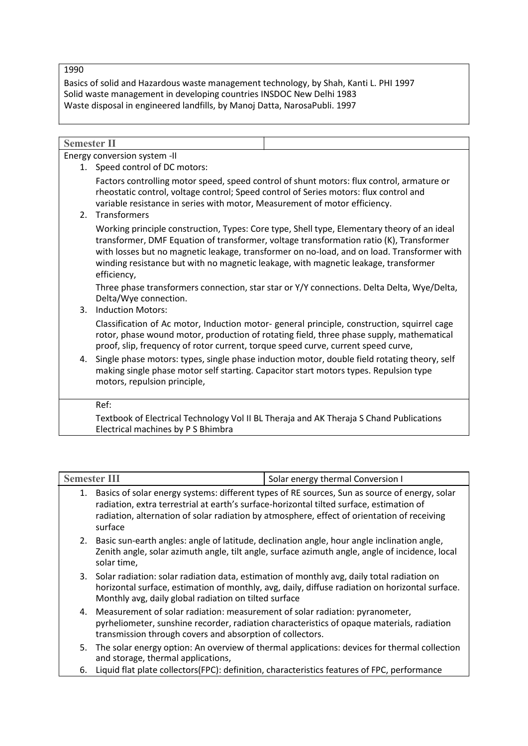1990

Basics of solid and Hazardous waste management technology, by Shah, Kanti L. PHI 1997 Solid waste management in developing countries INSDOC New Delhi 1983 Waste disposal in engineered landfills, by Manoj Datta, NarosaPubli. 1997

| <b>Semester II</b> |                                                                                                                                                                                                                                                                                                                                                                                            |  |  |  |  |
|--------------------|--------------------------------------------------------------------------------------------------------------------------------------------------------------------------------------------------------------------------------------------------------------------------------------------------------------------------------------------------------------------------------------------|--|--|--|--|
|                    | Energy conversion system -II                                                                                                                                                                                                                                                                                                                                                               |  |  |  |  |
|                    | 1. Speed control of DC motors:                                                                                                                                                                                                                                                                                                                                                             |  |  |  |  |
|                    | Factors controlling motor speed, speed control of shunt motors: flux control, armature or<br>rheostatic control, voltage control; Speed control of Series motors: flux control and<br>variable resistance in series with motor, Measurement of motor efficiency.<br>2. Transformers                                                                                                        |  |  |  |  |
|                    | Working principle construction, Types: Core type, Shell type, Elementary theory of an ideal<br>transformer, DMF Equation of transformer, voltage transformation ratio (K), Transformer<br>with losses but no magnetic leakage, transformer on no-load, and on load. Transformer with<br>winding resistance but with no magnetic leakage, with magnetic leakage, transformer<br>efficiency, |  |  |  |  |
|                    | Three phase transformers connection, star star or Y/Y connections. Delta Delta, Wye/Delta,<br>Delta/Wye connection.                                                                                                                                                                                                                                                                        |  |  |  |  |
| 3.                 | <b>Induction Motors:</b>                                                                                                                                                                                                                                                                                                                                                                   |  |  |  |  |
|                    | Classification of Ac motor, Induction motor- general principle, construction, squirrel cage<br>rotor, phase wound motor, production of rotating field, three phase supply, mathematical<br>proof, slip, frequency of rotor current, torque speed curve, current speed curve,                                                                                                               |  |  |  |  |
|                    | 4. Single phase motors: types, single phase induction motor, double field rotating theory, self<br>making single phase motor self starting. Capacitor start motors types. Repulsion type<br>motors, repulsion principle,                                                                                                                                                                   |  |  |  |  |
|                    | Ref:                                                                                                                                                                                                                                                                                                                                                                                       |  |  |  |  |
|                    | Textbook of Electrical Technology Vol II BL Theraja and AK Theraja S Chand Publications<br>Electrical machines by P S Bhimbra                                                                                                                                                                                                                                                              |  |  |  |  |

| <b>Semester III</b>                                                                                                                                                                                                                                                                                       | Solar energy thermal Conversion I                                                               |
|-----------------------------------------------------------------------------------------------------------------------------------------------------------------------------------------------------------------------------------------------------------------------------------------------------------|-------------------------------------------------------------------------------------------------|
| Basics of solar energy systems: different types of RE sources, Sun as source of energy, solar<br>1.<br>radiation, extra terrestrial at earth's surface-horizontal tilted surface, estimation of<br>radiation, alternation of solar radiation by atmosphere, effect of orientation of receiving<br>surface |                                                                                                 |
| 2. Basic sun-earth angles: angle of latitude, declination angle, hour angle inclination angle,<br>solar time,                                                                                                                                                                                             | Zenith angle, solar azimuth angle, tilt angle, surface azimuth angle, angle of incidence, local |
| 3. Solar radiation: solar radiation data, estimation of monthly avg, daily total radiation on<br>Monthly avg, daily global radiation on tilted surface                                                                                                                                                    | horizontal surface, estimation of monthly, avg, daily, diffuse radiation on horizontal surface. |
| 4. Measurement of solar radiation: measurement of solar radiation: pyranometer,<br>transmission through covers and absorption of collectors.                                                                                                                                                              | pyrheliometer, sunshine recorder, radiation characteristics of opaque materials, radiation      |
|                                                                                                                                                                                                                                                                                                           | 5. The solar energy option: An overview of thermal applications: devices for thermal collection |

6. Liquid flat plate collectors(FPC): definition, characteristics features of FPC, performance

and storage, thermal applications,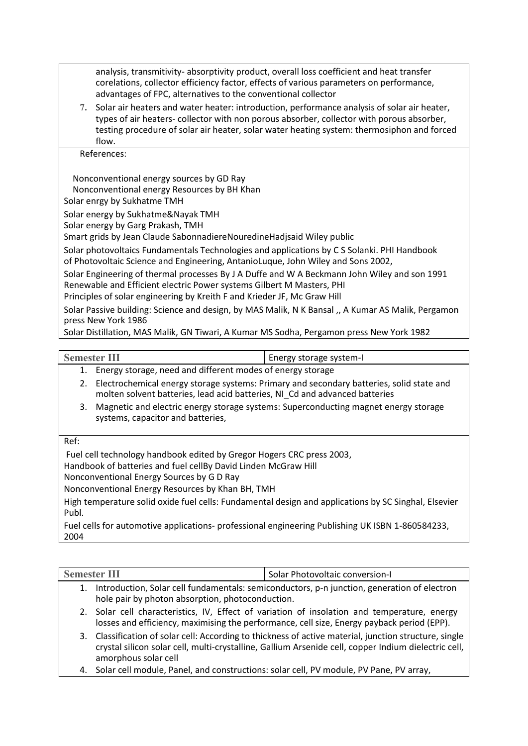analysis, transmitivity- absorptivity product, overall loss coefficient and heat transfer corelations, collector efficiency factor, effects of various parameters on performance, advantages of FPC, alternatives to the conventional collector

**7.** Solar air heaters and water heater: introduction, performance analysis of solar air heater, types of air heaters- collector with non porous absorber, collector with porous absorber, testing procedure of solar air heater, solar water heating system: thermosiphon and forced flow.

References:

Nonconventional energy sources by GD Ray

Nonconventional energy Resources by BH Khan

Solar enrgy by Sukhatme TMH

Solar energy by Sukhatme&Nayak TMH

Solar energy by Garg Prakash, TMH

Smart grids by Jean Claude SabonnadiereNouredineHadjsaid Wiley public

Solar photovoltaics Fundamentals Technologies and applications by C S Solanki. PHI Handbook

of Photovoltaic Science and Engineering, AntanioLuque, John Wiley and Sons 2002,

Solar Engineering of thermal processes By J A Duffe and W A Beckmann John Wiley and son 1991 Renewable and Efficient electric Power systems Gilbert M Masters, PHI

Principles of solar engineering by Kreith F and Krieder JF, Mc Graw Hill

Solar Passive building: Science and design, by MAS Malik, N K Bansal ,, A Kumar AS Malik, Pergamon press New York 1986

Solar Distillation, MAS Malik, GN Tiwari, A Kumar MS Sodha, Pergamon press New York 1982

- **Semester III Energy storage system-I** 
	- 1. Energy storage, need and different modes of energy storage
		- 2. Electrochemical energy storage systems: Primary and secondary batteries, solid state and molten solvent batteries, lead acid batteries, NI\_Cd and advanced batteries
		- 3. Magnetic and electric energy storage systems: Superconducting magnet energy storage systems, capacitor and batteries,

## Ref:

Fuel cell technology handbook edited by Gregor Hogers CRC press 2003,

Handbook of batteries and fuel cellBy David Linden McGraw Hill

Nonconventional Energy Sources by G D Ray

Nonconventional Energy Resources by Khan BH, TMH

High temperature solid oxide fuel cells: Fundamental design and applications by SC Singhal, Elsevier Publ.

Fuel cells for automotive applications- professional engineering Publishing UK ISBN 1-860584233, 2004

| <b>Semester III</b>                                                                                                                                                                                                                    | Solar Photovoltaic conversion-I                                                                                                                                                            |  |
|----------------------------------------------------------------------------------------------------------------------------------------------------------------------------------------------------------------------------------------|--------------------------------------------------------------------------------------------------------------------------------------------------------------------------------------------|--|
| Introduction, Solar cell fundamentals: semiconductors, p-n junction, generation of electron<br>1.<br>hole pair by photon absorption, photoconduction.                                                                                  |                                                                                                                                                                                            |  |
|                                                                                                                                                                                                                                        | 2. Solar cell characteristics, IV, Effect of variation of insolation and temperature, energy<br>losses and efficiency, maximising the performance, cell size, Energy payback period (EPP). |  |
| 3. Classification of solar cell: According to thickness of active material, junction structure, single<br>crystal silicon solar cell, multi-crystalline, Gallium Arsenide cell, copper Indium dielectric cell,<br>amorphous solar cell |                                                                                                                                                                                            |  |
| 4.                                                                                                                                                                                                                                     | Solar cell module, Panel, and constructions: solar cell, PV module, PV Pane, PV array,                                                                                                     |  |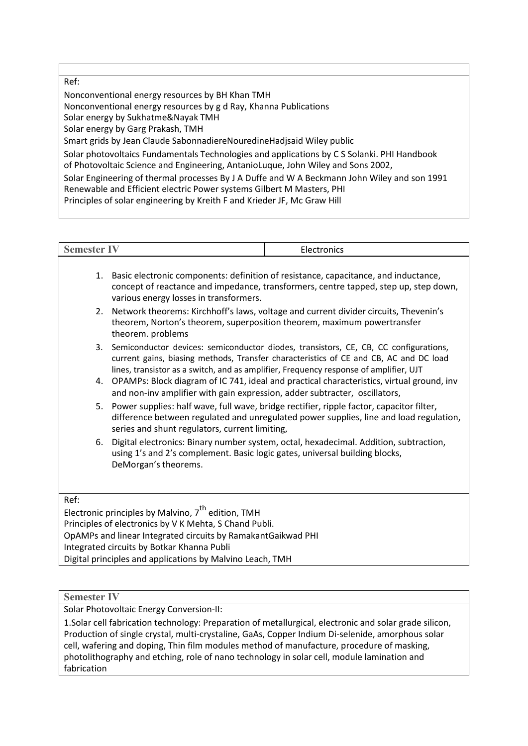Ref: Nonconventional energy resources by BH Khan TMH Nonconventional energy resources by g d Ray, Khanna Publications Solar energy by Sukhatme&Nayak TMH Solar energy by Garg Prakash, TMH Smart grids by Jean Claude SabonnadiereNouredineHadjsaid Wiley public Solar photovoltaics Fundamentals Technologies and applications by C S Solanki. PHI Handbook of Photovoltaic Science and Engineering, AntanioLuque, John Wiley and Sons 2002, Solar Engineering of thermal processes By J A Duffe and W A Beckmann John Wiley and son 1991 Renewable and Efficient electric Power systems Gilbert M Masters, PHI Principles of solar engineering by Kreith F and Krieder JF, Mc Graw Hill

| <b>Semester IV</b>                                                                                                                                                                                 |                                                                                                                                                                                                                                                                                                                                                                                                                       | Electronics |
|----------------------------------------------------------------------------------------------------------------------------------------------------------------------------------------------------|-----------------------------------------------------------------------------------------------------------------------------------------------------------------------------------------------------------------------------------------------------------------------------------------------------------------------------------------------------------------------------------------------------------------------|-------------|
| 1.                                                                                                                                                                                                 | Basic electronic components: definition of resistance, capacitance, and inductance,<br>concept of reactance and impedance, transformers, centre tapped, step up, step down,<br>various energy losses in transformers.                                                                                                                                                                                                 |             |
| 2.                                                                                                                                                                                                 | Network theorems: Kirchhoff's laws, voltage and current divider circuits, Thevenin's<br>theorem, Norton's theorem, superposition theorem, maximum powertransfer<br>theorem. problems                                                                                                                                                                                                                                  |             |
| 3.                                                                                                                                                                                                 | Semiconductor devices: semiconductor diodes, transistors, CE, CB, CC configurations,<br>current gains, biasing methods, Transfer characteristics of CE and CB, AC and DC load<br>lines, transistor as a switch, and as amplifier, Frequency response of amplifier, UJT                                                                                                                                                |             |
| 4.                                                                                                                                                                                                 | OPAMPs: Block diagram of IC 741, ideal and practical characteristics, virtual ground, inv<br>and non-inv amplifier with gain expression, adder subtracter, oscillators,<br>Power supplies: half wave, full wave, bridge rectifier, ripple factor, capacitor filter,<br>5.<br>difference between regulated and unregulated power supplies, line and load regulation,<br>series and shunt regulators, current limiting, |             |
|                                                                                                                                                                                                    |                                                                                                                                                                                                                                                                                                                                                                                                                       |             |
| Digital electronics: Binary number system, octal, hexadecimal. Addition, subtraction,<br>6.<br>using 1's and 2's complement. Basic logic gates, universal building blocks,<br>DeMorgan's theorems. |                                                                                                                                                                                                                                                                                                                                                                                                                       |             |
| Ref:                                                                                                                                                                                               |                                                                                                                                                                                                                                                                                                                                                                                                                       |             |
|                                                                                                                                                                                                    | Electronic principles by Malying $7^{\text{th}}$ odition TMH                                                                                                                                                                                                                                                                                                                                                          |             |

Electronic principles by Malvino,  $7<sup>th</sup>$  edition, TMH Principles of electronics by V K Mehta, S Chand Publi. OpAMPs and linear Integrated circuits by RamakantGaikwad PHI Integrated circuits by Botkar Khanna Publi Digital principles and applications by Malvino Leach, TMH

### **Semester IV**

Solar Photovoltaic Energy Conversion-II:

1.Solar cell fabrication technology: Preparation of metallurgical, electronic and solar grade silicon, Production of single crystal, multi-crystaline, GaAs, Copper Indium Di-selenide, amorphous solar cell, wafering and doping, Thin film modules method of manufacture, procedure of masking, photolithography and etching, role of nano technology in solar cell, module lamination and fabrication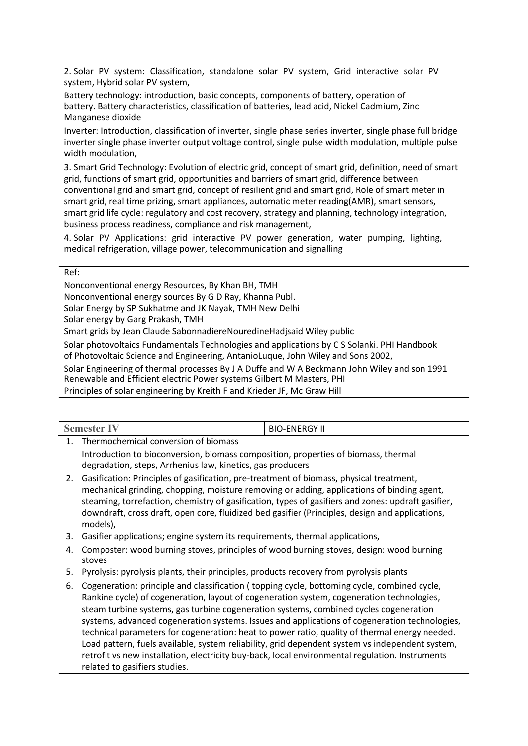2. Solar PV system: Classification, standalone solar PV system, Grid interactive solar PV system, Hybrid solar PV system,

Battery technology: introduction, basic concepts, components of battery, operation of battery. Battery characteristics, classification of batteries, lead acid, Nickel Cadmium, Zinc Manganese dioxide

Inverter: Introduction, classification of inverter, single phase series inverter, single phase full bridge inverter single phase inverter output voltage control, single pulse width modulation, multiple pulse width modulation,

3. Smart Grid Technology: Evolution of electric grid, concept of smart grid, definition, need of smart grid, functions of smart grid, opportunities and barriers of smart grid, difference between conventional grid and smart grid, concept of resilient grid and smart grid, Role of smart meter in smart grid, real time prizing, smart appliances, automatic meter reading(AMR), smart sensors, smart grid life cycle: regulatory and cost recovery, strategy and planning, technology integration, business process readiness, compliance and risk management,

4. Solar PV Applications: grid interactive PV power generation, water pumping, lighting, medical refrigeration, village power, telecommunication and signalling

Ref:

Nonconventional energy Resources, By Khan BH, TMH

Nonconventional energy sources By G D Ray, Khanna Publ.

Solar Energy by SP Sukhatme and JK Nayak, TMH New Delhi

Solar energy by Garg Prakash, TMH

Smart grids by Jean Claude SabonnadiereNouredineHadjsaid Wiley public

Solar photovoltaics Fundamentals Technologies and applications by C S Solanki. PHI Handbook

of Photovoltaic Science and Engineering, AntanioLuque, John Wiley and Sons 2002,

Solar Engineering of thermal processes By J A Duffe and W A Beckmann John Wiley and son 1991 Renewable and Efficient electric Power systems Gilbert M Masters, PHI

Principles of solar engineering by Kreith F and Krieder JF, Mc Graw Hill

|    | <b>Semester IV</b>                                                                                                                                                                                                                                                                                                                                                                                         | <b>BIO-ENERGY II</b> |  |
|----|------------------------------------------------------------------------------------------------------------------------------------------------------------------------------------------------------------------------------------------------------------------------------------------------------------------------------------------------------------------------------------------------------------|----------------------|--|
| 1. | Thermochemical conversion of biomass                                                                                                                                                                                                                                                                                                                                                                       |                      |  |
|    | Introduction to bioconversion, biomass composition, properties of biomass, thermal<br>degradation, steps, Arrhenius law, kinetics, gas producers                                                                                                                                                                                                                                                           |                      |  |
| 2. | Gasification: Principles of gasification, pre-treatment of biomass, physical treatment,<br>mechanical grinding, chopping, moisture removing or adding, applications of binding agent,<br>steaming, torrefaction, chemistry of gasification, types of gasifiers and zones: updraft gasifier,<br>downdraft, cross draft, open core, fluidized bed gasifier (Principles, design and applications,<br>models), |                      |  |
| 3. | Gasifier applications; engine system its requirements, thermal applications,                                                                                                                                                                                                                                                                                                                               |                      |  |
| 4. | Composter: wood burning stoves, principles of wood burning stoves, design: wood burning<br>stoves                                                                                                                                                                                                                                                                                                          |                      |  |
| 5. | Pyrolysis: pyrolysis plants, their principles, products recovery from pyrolysis plants                                                                                                                                                                                                                                                                                                                     |                      |  |
|    | 6. Cogeneration: principle and classification (topping cycle, bottoming cycle, combined cycle,                                                                                                                                                                                                                                                                                                             |                      |  |

6. Cogeneration: principle and classification ( topping cycle, bottoming cycle, combined cycle, Rankine cycle) of cogeneration, layout of cogeneration system, cogeneration technologies, steam turbine systems, gas turbine cogeneration systems, combined cycles cogeneration systems, advanced cogeneration systems. Issues and applications of cogeneration technologies, technical parameters for cogeneration: heat to power ratio, quality of thermal energy needed. Load pattern, fuels available, system reliability, grid dependent system vs independent system, retrofit vs new installation, electricity buy-back, local environmental regulation. Instruments related to gasifiers studies.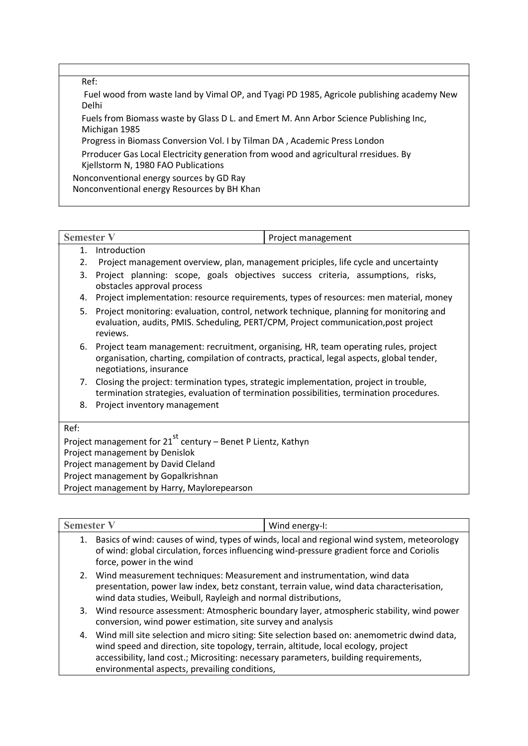Ref:

Fuel wood from waste land by Vimal OP, and Tyagi PD 1985, Agricole publishing academy New Delhi

Fuels from Biomass waste by Glass D L. and Emert M. Ann Arbor Science Publishing Inc, Michigan 1985

Progress in Biomass Conversion Vol. I by Tilman DA , Academic Press London

Prroducer Gas Local Electricity generation from wood and agricultural rresidues. By Kjellstorm N, 1980 FAO Publications

Nonconventional energy sources by GD Ray Nonconventional energy Resources by BH Khan

| $\overline{\phantom{a}}$<br>$\sim$ $\sim$ $\sim$ $\sim$ | Dirichlet<br>management<br>، ۱⊔ . |
|---------------------------------------------------------|-----------------------------------|
|                                                         |                                   |

## 1. Introduction

2. Project management overview, plan, management priciples, life cycle and uncertainty

- 3. Project planning: scope, goals objectives success criteria, assumptions, risks, obstacles approval process
- 4. Project implementation: resource requirements, types of resources: men material, money
- 5. Project monitoring: evaluation, control, network technique, planning for monitoring and evaluation, audits, PMIS. Scheduling, PERT/CPM, Project communication,post project reviews.
- 6. Project team management: recruitment, organising, HR, team operating rules, project organisation, charting, compilation of contracts, practical, legal aspects, global tender, negotiations, insurance
- 7. Closing the project: termination types, strategic implementation, project in trouble, termination strategies, evaluation of termination possibilities, termination procedures.
- 8. Project inventory management

Ref:

Project management for 21<sup>st</sup> century – Benet P Lientz, Kathyn Project management by Denislok Project management by David Cleland

Project management by Gopalkrishnan

Project management by Harry, Maylorepearson

| <b>Semester V</b> |                                                                                                                                                                                                                                          | Wind energy-I:                                                                                 |
|-------------------|------------------------------------------------------------------------------------------------------------------------------------------------------------------------------------------------------------------------------------------|------------------------------------------------------------------------------------------------|
|                   | 1. Basics of wind: causes of wind, types of winds, local and regional wind system, meteorology<br>of wind: global circulation, forces influencing wind-pressure gradient force and Coriolis<br>force, power in the wind                  |                                                                                                |
|                   | 2. Wind measurement techniques: Measurement and instrumentation, wind data<br>presentation, power law index, betz constant, terrain value, wind data characterisation,<br>wind data studies, Weibull, Rayleigh and normal distributions, |                                                                                                |
|                   | conversion, wind power estimation, site survey and analysis                                                                                                                                                                              | 3. Wind resource assessment: Atmospheric boundary layer, atmospheric stability, wind power     |
|                   | wind speed and direction, site topology, terrain, altitude, local ecology, project<br>accessibility, land cost.; Micrositing: necessary parameters, building requirements,<br>environmental aspects, prevailing conditions,              | 4. Wind mill site selection and micro siting: Site selection based on: anemometric dwind data, |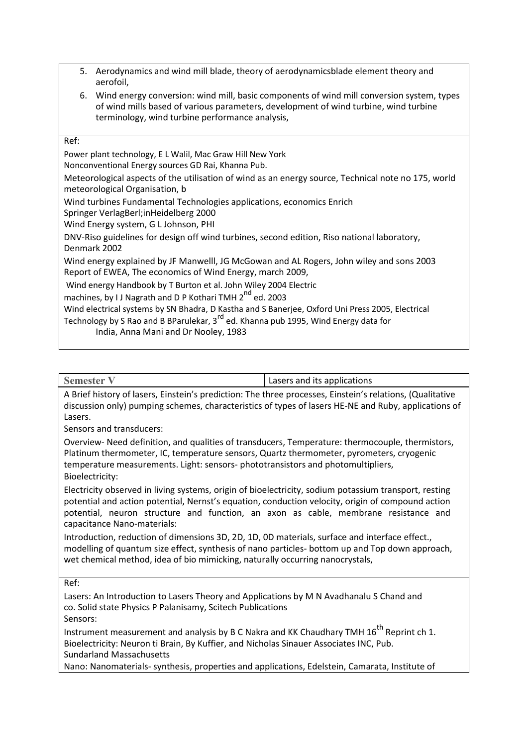- 5. Aerodynamics and wind mill blade, theory of aerodynamicsblade element theory and aerofoil,
- 6. Wind energy conversion: wind mill, basic components of wind mill conversion system, types of wind mills based of various parameters, development of wind turbine, wind turbine terminology, wind turbine performance analysis,

| Ref:                                                                                                                                                                                                                                        |
|---------------------------------------------------------------------------------------------------------------------------------------------------------------------------------------------------------------------------------------------|
| Power plant technology, E L Walil, Mac Graw Hill New York<br>Nonconventional Energy sources GD Rai, Khanna Pub.                                                                                                                             |
| Meteorological aspects of the utilisation of wind as an energy source, Technical note no 175, world<br>meteorological Organisation, b                                                                                                       |
| Wind turbines Fundamental Technologies applications, economics Enrich<br>Springer VerlagBerl; in Heidelberg 2000<br>Wind Energy system, G L Johnson, PHI                                                                                    |
| DNV-Riso guidelines for design off wind turbines, second edition, Riso national laboratory,<br>Denmark 2002                                                                                                                                 |
| Wind energy explained by JF Manwelll, JG McGowan and AL Rogers, John wiley and sons 2003<br>Report of EWEA, The economics of Wind Energy, march 2009,                                                                                       |
| Wind energy Handbook by T Burton et al. John Wiley 2004 Electric<br>machines, by I J Nagrath and D P Kothari TMH 2 <sup>nd</sup> ed. 2003                                                                                                   |
| Wind electrical systems by SN Bhadra, D Kastha and S Banerjee, Oxford Uni Press 2005, Electrical<br>Technology by S Rao and B BParulekar, 3 <sup>rd</sup> ed. Khanna pub 1995, Wind Energy data for<br>India, Anna Mani and Dr Nooley, 1983 |
|                                                                                                                                                                                                                                             |

| Semester V                                                                                                      | Lasers and its applications |
|-----------------------------------------------------------------------------------------------------------------|-----------------------------|
| A Brief history of lasers, Einstein's prediction: The three processes, Einstein's relations, (Qualitative       |                             |
| l dels cleros del Viccolesce di Locolesce del composito del colo efficio delle Nie dodi Al II di coleggio del f |                             |

discussion only) pumping schemes, characteristics of types of lasers HE-NE and Ruby, applications of Lasers.

Sensors and transducers:

Overview- Need definition, and qualities of transducers, Temperature: thermocouple, thermistors, Platinum thermometer, IC, temperature sensors, Quartz thermometer, pyrometers, cryogenic temperature measurements. Light: sensors- phototransistors and photomultipliers, Bioelectricity:

Electricity observed in living systems, origin of bioelectricity, sodium potassium transport, resting potential and action potential, Nernst's equation, conduction velocity, origin of compound action potential, neuron structure and function, an axon as cable, membrane resistance and capacitance Nano-materials:

Introduction, reduction of dimensions 3D, 2D, 1D, 0D materials, surface and interface effect., modelling of quantum size effect, synthesis of nano particles- bottom up and Top down approach, wet chemical method, idea of bio mimicking, naturally occurring nanocrystals,

Ref:

Lasers: An Introduction to Lasers Theory and Applications by M N Avadhanalu S Chand and co. Solid state Physics P Palanisamy, Scitech Publications Sensors:

Instrument measurement and analysis by B C Nakra and KK Chaudhary TMH  $16^{th}$  Reprint ch 1. Bioelectricity: Neuron ti Brain, By Kuffier, and Nicholas Sinauer Associates INC, Pub. Sundarland Massachusetts

Nano: Nanomaterials- synthesis, properties and applications, Edelstein, Camarata, Institute of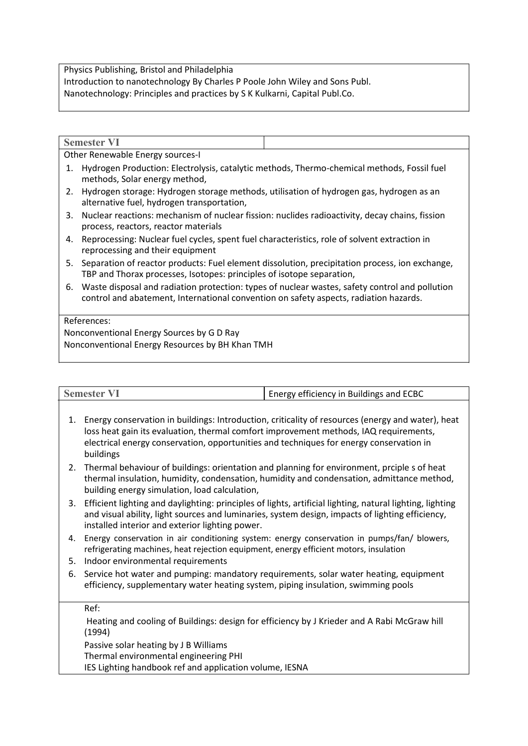Physics Publishing, Bristol and Philadelphia Introduction to nanotechnology By Charles P Poole John Wiley and Sons Publ. Nanotechnology: Principles and practices by S K Kulkarni, Capital Publ.Co.

|                                                 | <b>Semester VI</b>                                                                                                                                                      |                                                                                                |
|-------------------------------------------------|-------------------------------------------------------------------------------------------------------------------------------------------------------------------------|------------------------------------------------------------------------------------------------|
| Other Renewable Energy sources-I                |                                                                                                                                                                         |                                                                                                |
| 1.                                              | Hydrogen Production: Electrolysis, catalytic methods, Thermo-chemical methods, Fossil fuel<br>methods, Solar energy method,                                             |                                                                                                |
| 2.                                              | Hydrogen storage: Hydrogen storage methods, utilisation of hydrogen gas, hydrogen as an<br>alternative fuel, hydrogen transportation,                                   |                                                                                                |
| 3.                                              | Nuclear reactions: mechanism of nuclear fission: nuclides radioactivity, decay chains, fission<br>process, reactors, reactor materials                                  |                                                                                                |
| 4.                                              | Reprocessing: Nuclear fuel cycles, spent fuel characteristics, role of solvent extraction in<br>reprocessing and their equipment                                        |                                                                                                |
| 5.                                              | Separation of reactor products: Fuel element dissolution, precipitation process, ion exchange,<br>TBP and Thorax processes, Isotopes: principles of isotope separation, |                                                                                                |
| 6.                                              | control and abatement, International convention on safety aspects, radiation hazards.                                                                                   | Waste disposal and radiation protection: types of nuclear wastes, safety control and pollution |
| References:                                     |                                                                                                                                                                         |                                                                                                |
| Nonconventional Energy Sources by G D Ray       |                                                                                                                                                                         |                                                                                                |
| Nonconventional Energy Resources by BH Khan TMH |                                                                                                                                                                         |                                                                                                |

|    | <b>Semester VI</b><br>Energy efficiency in Buildings and ECBC                                                                                                                                                                                                                                      |  |
|----|----------------------------------------------------------------------------------------------------------------------------------------------------------------------------------------------------------------------------------------------------------------------------------------------------|--|
| 1. | Energy conservation in buildings: Introduction, criticality of resources (energy and water), heat<br>loss heat gain its evaluation, thermal comfort improvement methods, IAQ requirements,<br>electrical energy conservation, opportunities and techniques for energy conservation in<br>buildings |  |
| 2. | Thermal behaviour of buildings: orientation and planning for environment, prciple s of heat<br>thermal insulation, humidity, condensation, humidity and condensation, admittance method,<br>building energy simulation, load calculation,                                                          |  |
| 3. | Efficient lighting and daylighting: principles of lights, artificial lighting, natural lighting, lighting<br>and visual ability, light sources and luminaries, system design, impacts of lighting efficiency,<br>installed interior and exterior lighting power.                                   |  |
| 4. | Energy conservation in air conditioning system: energy conservation in pumps/fan/ blowers,<br>refrigerating machines, heat rejection equipment, energy efficient motors, insulation                                                                                                                |  |
| 5. | Indoor environmental requirements                                                                                                                                                                                                                                                                  |  |
| 6. | Service hot water and pumping: mandatory requirements, solar water heating, equipment<br>efficiency, supplementary water heating system, piping insulation, swimming pools                                                                                                                         |  |
|    | Ref:                                                                                                                                                                                                                                                                                               |  |
|    | Heating and cooling of Buildings: design for efficiency by J Krieder and A Rabi McGraw hill<br>(1994)                                                                                                                                                                                              |  |
|    | Passive solar heating by J B Williams<br>Thermal environmental engineering PHI                                                                                                                                                                                                                     |  |
|    | IES Lighting handbook ref and application volume, IESNA                                                                                                                                                                                                                                            |  |